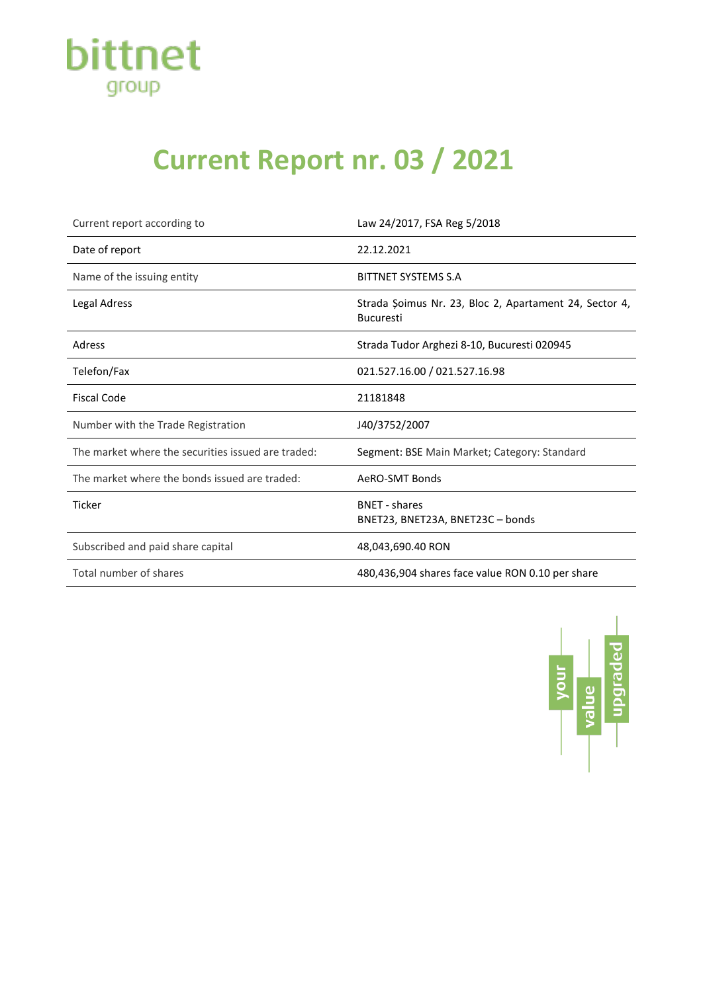

## **Current Report nr. 03 / 2021**

| Current report according to                        | Law 24/2017, FSA Reg 5/2018                                                |
|----------------------------------------------------|----------------------------------------------------------------------------|
| Date of report                                     | 22.12.2021                                                                 |
| Name of the issuing entity                         | <b>BITTNET SYSTEMS S.A</b>                                                 |
| Legal Adress                                       | Strada Șoimus Nr. 23, Bloc 2, Apartament 24, Sector 4,<br><b>Bucuresti</b> |
| Adress                                             | Strada Tudor Arghezi 8-10, Bucuresti 020945                                |
| Telefon/Fax                                        | 021.527.16.00 / 021.527.16.98                                              |
| <b>Fiscal Code</b>                                 | 21181848                                                                   |
| Number with the Trade Registration                 | J40/3752/2007                                                              |
| The market where the securities issued are traded: | Segment: BSE Main Market; Category: Standard                               |
| The market where the bonds issued are traded:      | AeRO-SMT Bonds                                                             |
| Ticker                                             | <b>BNET - shares</b><br>BNET23, BNET23A, BNET23C - bonds                   |
| Subscribed and paid share capital                  | 48,043,690.40 RON                                                          |
| Total number of shares                             | 480,436,904 shares face value RON 0.10 per share                           |